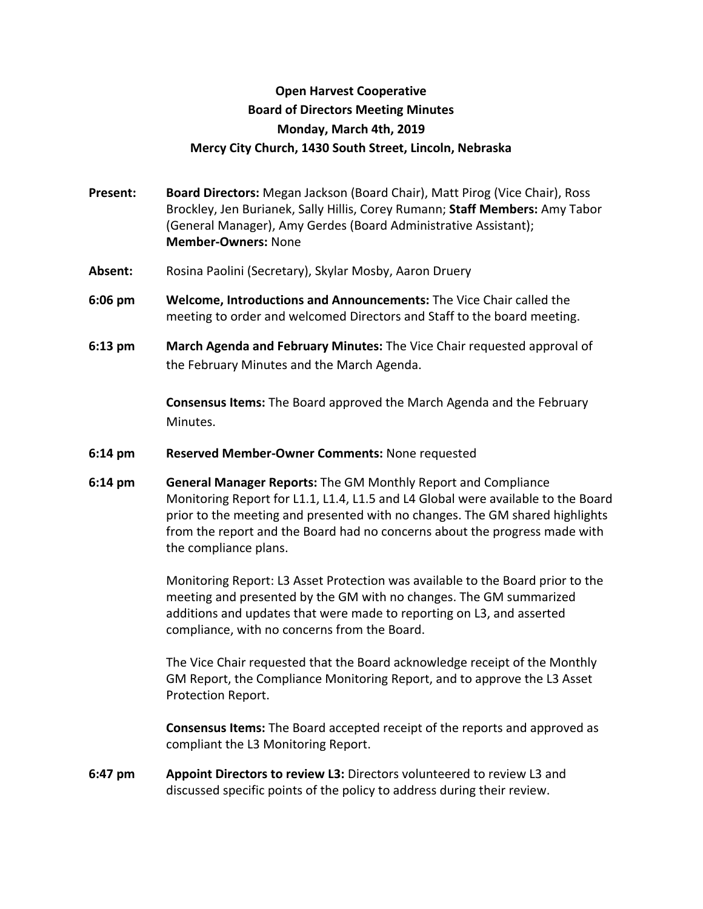## **Open Harvest Cooperative Board of Directors Meeting Minutes Monday, March 4th, 2019 Mercy City Church, 1430 South Street, Lincoln, Nebraska**

- **Present: Board Directors:** Megan Jackson (Board Chair), Matt Pirog (Vice Chair), Ross Brockley, Jen Burianek, Sally Hillis, Corey Rumann; **Staff Members:** Amy Tabor (General Manager), Amy Gerdes (Board Administrative Assistant); **Member-Owners:** None
- **Absent:** Rosina Paolini (Secretary), Skylar Mosby, Aaron Druery
- **6:06 pm Welcome, Introductions and Announcements:** The Vice Chair called the meeting to order and welcomed Directors and Staff to the board meeting.
- **6:13 pm March Agenda and February Minutes:** The Vice Chair requested approval of the February Minutes and the March Agenda.

**Consensus Items:** The Board approved the March Agenda and the February Minutes.

- **6:14 pm Reserved Member-Owner Comments:** None requested
- **6:14 pm General Manager Reports:** The GM Monthly Report and Compliance Monitoring Report for L1.1, L1.4, L1.5 and L4 Global were available to the Board prior to the meeting and presented with no changes. The GM shared highlights from the report and the Board had no concerns about the progress made with the compliance plans.

Monitoring Report: L3 Asset Protection was available to the Board prior to the meeting and presented by the GM with no changes. The GM summarized additions and updates that were made to reporting on L3, and asserted compliance, with no concerns from the Board.

The Vice Chair requested that the Board acknowledge receipt of the Monthly GM Report, the Compliance Monitoring Report, and to approve the L3 Asset Protection Report.

**Consensus Items:** The Board accepted receipt of the reports and approved as compliant the L3 Monitoring Report.

**6:47 pm Appoint Directors to review L3:** Directors volunteered to review L3 and discussed specific points of the policy to address during their review.